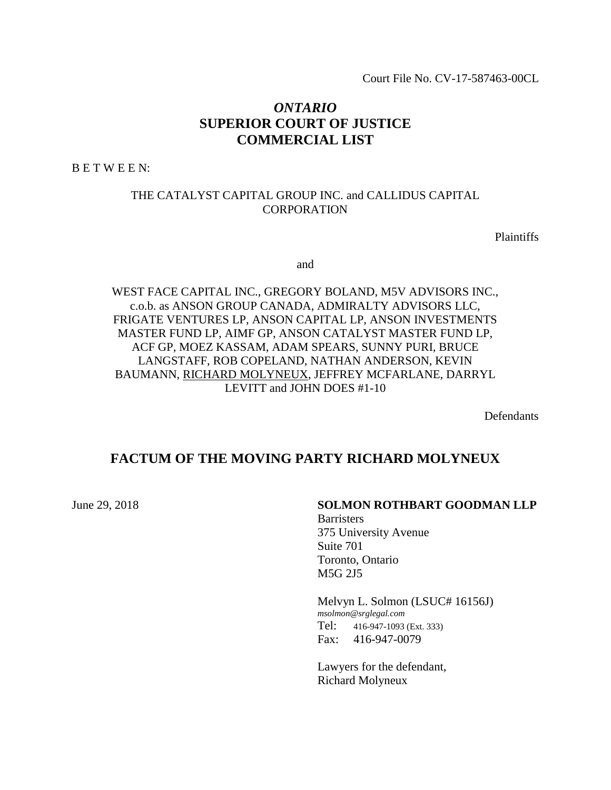Court File No. CV-17-587463-00CL

# *ONTARIO* **SUPERIOR COURT OF JUSTICE COMMERCIAL LIST**

B E T W E E N:

#### THE CATALYST CAPITAL GROUP INC. and CALLIDUS CAPITAL **CORPORATION**

Plaintiffs

and

WEST FACE CAPITAL INC., GREGORY BOLAND, M5V ADVISORS INC., c.o.b. as ANSON GROUP CANADA, ADMIRALTY ADVISORS LLC, FRIGATE VENTURES LP, ANSON CAPITAL LP, ANSON INVESTMENTS MASTER FUND LP, AIMF GP, ANSON CATALYST MASTER FUND LP, ACF GP, MOEZ KASSAM, ADAM SPEARS, SUNNY PURI, BRUCE LANGSTAFF, ROB COPELAND, NATHAN ANDERSON, KEVIN BAUMANN, RICHARD MOLYNEUX, JEFFREY MCFARLANE, DARRYL LEVITT and JOHN DOES #1-10

Defendants

# **FACTUM OF THE MOVING PARTY RICHARD MOLYNEUX**

### June 29, 2018 **SOLMON ROTHBART GOODMAN LLP**

**Barristers** 375 University Avenue Suite 701 Toronto, Ontario M5G 2J5

Melvyn L. Solmon (LSUC# 16156J) *msolmon@srglegal.com* Tel: 416-947-1093 (Ext. 333) Fax: 416-947-0079

Lawyers for the defendant, Richard Molyneux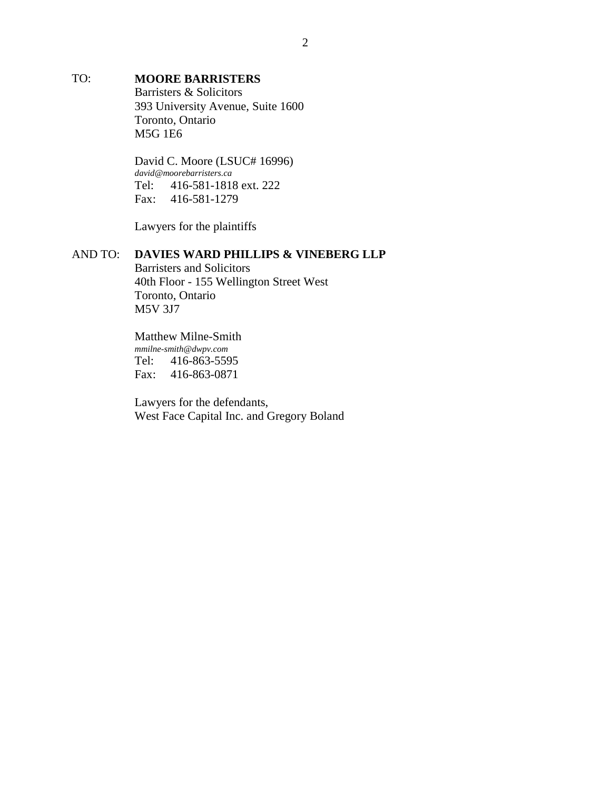## TO: **MOORE BARRISTERS**

Barristers & Solicitors 393 University Avenue, Suite 1600 Toronto, Ontario M5G 1E6

David C. Moore (LSUC# 16996) *david@moorebarristers.ca* Tel: 416-581-1818 ext. 222 Fax: 416-581-1279

Lawyers for the plaintiffs

### AND TO: **DAVIES WARD PHILLIPS & VINEBERG LLP**

Barristers and Solicitors 40th Floor - 155 Wellington Street West Toronto, Ontario M5V 3J7

Matthew Milne-Smith *mmilne-smith@dwpv.com* Tel: 416-863-5595 Fax: 416-863-0871

Lawyers for the defendants, West Face Capital Inc. and Gregory Boland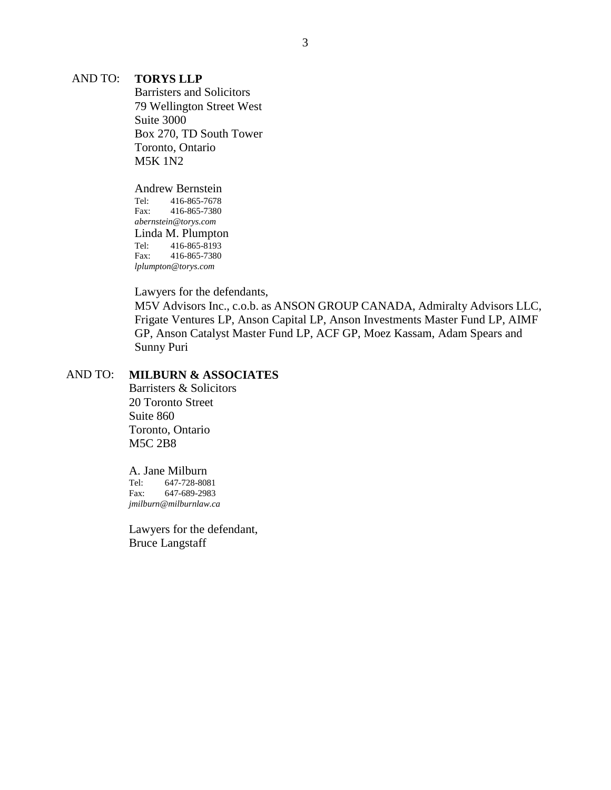#### AND TO: **TORYS LLP**

Barristers and Solicitors 79 Wellington Street West Suite 3000 Box 270, TD South Tower Toronto, Ontario M5K 1N2

Andrew Bernstein Tel: 416-865-7678 Fax: 416-865-7380 *abernstein@torys.com* Linda M. Plumpton Tel: 416-865-8193 Fax: 416-865-7380 *lplumpton@torys.com*

Lawyers for the defendants,

M5V Advisors Inc., c.o.b. as ANSON GROUP CANADA, Admiralty Advisors LLC, Frigate Ventures LP, Anson Capital LP, Anson Investments Master Fund LP, AIMF GP, Anson Catalyst Master Fund LP, ACF GP, Moez Kassam, Adam Spears and Sunny Puri

#### AND TO: **MILBURN & ASSOCIATES**

Barristers & Solicitors 20 Toronto Street Suite 860 Toronto, Ontario M5C 2B8

A. Jane Milburn Tel: 647-728-8081<br>Fax: 647-689-2983 647-689-2983 *jmilburn@milburnlaw.ca*

Lawyers for the defendant, Bruce Langstaff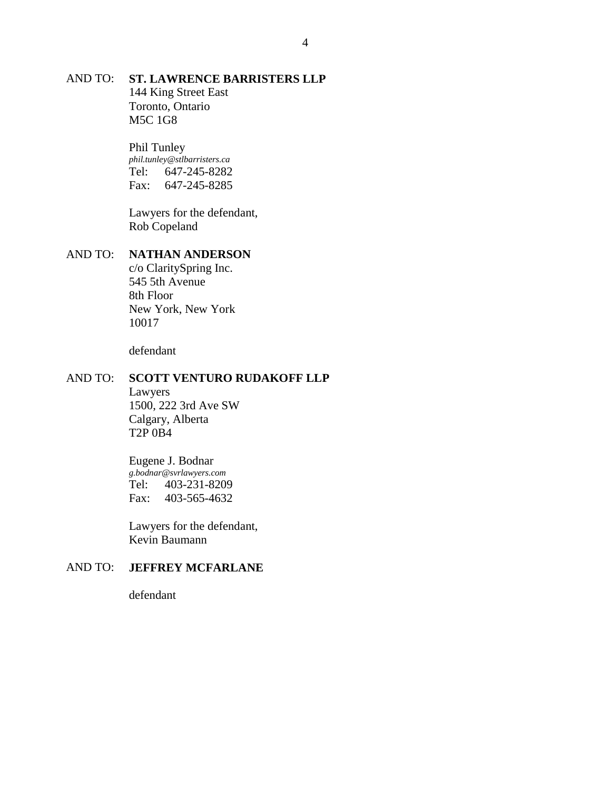# AND TO: **ST. LAWRENCE BARRISTERS LLP** 144 King Street East Toronto, Ontario

M5C 1G8

Phil Tunley *phil.tunley@stlbarristers.ca* Tel: 647-245-8282 Fax: 647-245-8285

Lawyers for the defendant, Rob Copeland

## AND TO: **NATHAN ANDERSON**

c/o ClaritySpring Inc. 545 5th Avenue 8th Floor New York, New York 10017

defendant

#### AND TO: **SCOTT VENTURO RUDAKOFF LLP**

Lawyers 1500, 222 3rd Ave SW Calgary, Alberta T2P 0B4

Eugene J. Bodnar *g.bodnar@svrlawyers.com* Tel: 403-231-8209 Fax: 403-565-4632

Lawyers for the defendant, Kevin Baumann

## AND TO: **JEFFREY MCFARLANE**

defendant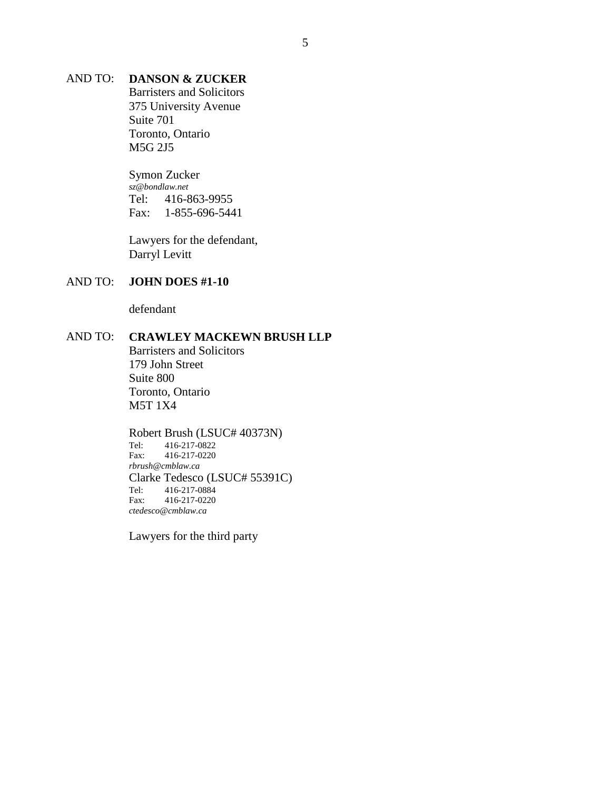## AND TO: **DANSON & ZUCKER**

Barristers and Solicitors 375 University Avenue Suite 701 Toronto, Ontario M5G 2J5

Symon Zucker *sz@bondlaw.net* Tel: 416-863-9955 Fax: 1-855-696-5441

Lawyers for the defendant, Darryl Levitt

#### AND TO: **JOHN DOES #1-10**

defendant

# AND TO: **CRAWLEY MACKEWN BRUSH LLP**

Barristers and Solicitors 179 John Street Suite 800 Toronto, Ontario M5T 1X4

# Robert Brush (LSUC# 40373N)<br>Tel: 416-217-0822

Tel: 416-217-0822 Fax: 416-217-0220 *rbrush@cmblaw.ca* Clarke Tedesco (LSUC# 55391C) Tel: 416-217-0884 Fax: 416-217-0220 *ctedesco@cmblaw.ca*

Lawyers for the third party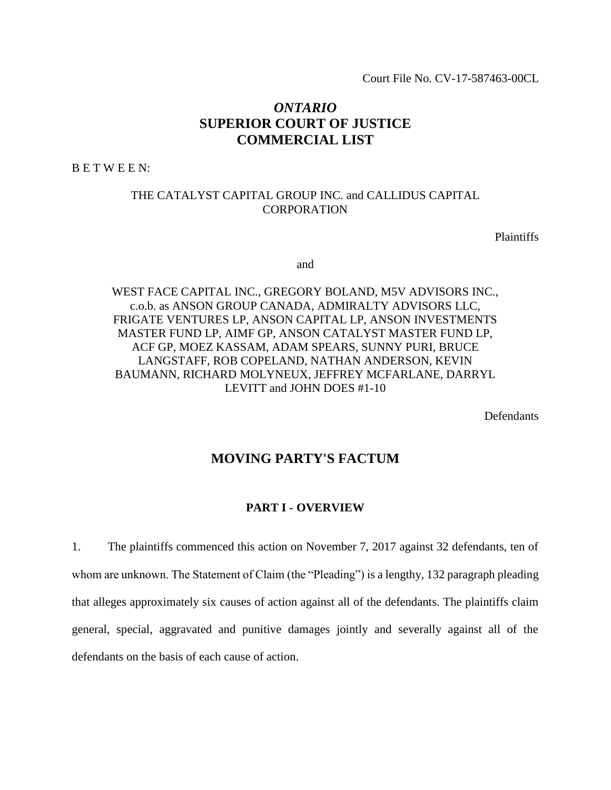Court File No. CV-17-587463-00CL

# *ONTARIO* **SUPERIOR COURT OF JUSTICE COMMERCIAL LIST**

B E T W E E N:

#### THE CATALYST CAPITAL GROUP INC. and CALLIDUS CAPITAL **CORPORATION**

Plaintiffs

and

WEST FACE CAPITAL INC., GREGORY BOLAND, M5V ADVISORS INC., c.o.b. as ANSON GROUP CANADA, ADMIRALTY ADVISORS LLC, FRIGATE VENTURES LP, ANSON CAPITAL LP, ANSON INVESTMENTS MASTER FUND LP, AIMF GP, ANSON CATALYST MASTER FUND LP, ACF GP, MOEZ KASSAM, ADAM SPEARS, SUNNY PURI, BRUCE LANGSTAFF, ROB COPELAND, NATHAN ANDERSON, KEVIN BAUMANN, RICHARD MOLYNEUX, JEFFREY MCFARLANE, DARRYL LEVITT and JOHN DOES #1-10

**Defendants** 

## **MOVING PARTY'S FACTUM**

#### **PART I - OVERVIEW**

1. The plaintiffs commenced this action on November 7, 2017 against 32 defendants, ten of whom are unknown. The Statement of Claim (the "Pleading") is a lengthy, 132 paragraph pleading that alleges approximately six causes of action against all of the defendants. The plaintiffs claim general, special, aggravated and punitive damages jointly and severally against all of the defendants on the basis of each cause of action.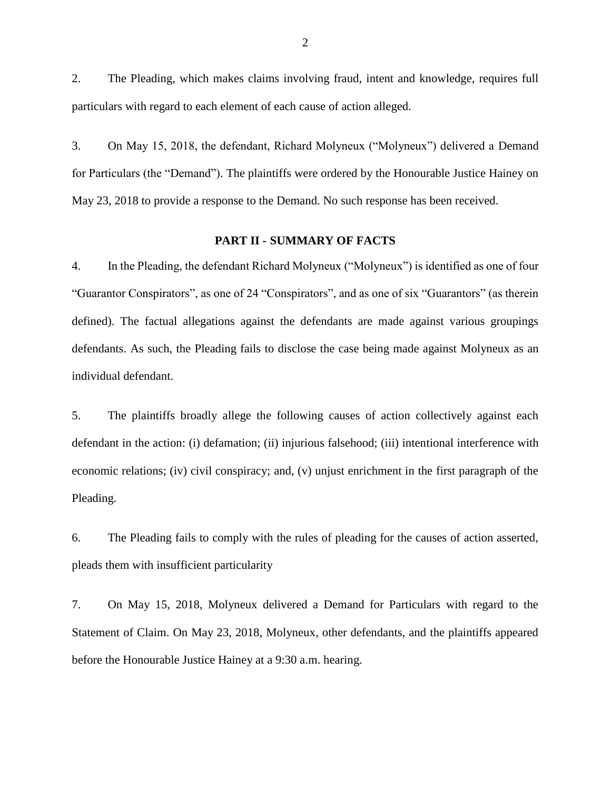2. The Pleading, which makes claims involving fraud, intent and knowledge, requires full particulars with regard to each element of each cause of action alleged.

3. On May 15, 2018, the defendant, Richard Molyneux ("Molyneux") delivered a Demand for Particulars (the "Demand"). The plaintiffs were ordered by the Honourable Justice Hainey on May 23, 2018 to provide a response to the Demand. No such response has been received.

#### **PART II - SUMMARY OF FACTS**

4. In the Pleading, the defendant Richard Molyneux ("Molyneux") is identified as one of four "Guarantor Conspirators", as one of 24 "Conspirators", and as one of six "Guarantors" (as therein defined). The factual allegations against the defendants are made against various groupings defendants. As such, the Pleading fails to disclose the case being made against Molyneux as an individual defendant.

5. The plaintiffs broadly allege the following causes of action collectively against each defendant in the action: (i) defamation; (ii) injurious falsehood; (iii) intentional interference with economic relations; (iv) civil conspiracy; and, (v) unjust enrichment in the first paragraph of the Pleading.

6. The Pleading fails to comply with the rules of pleading for the causes of action asserted, pleads them with insufficient particularity

7. On May 15, 2018, Molyneux delivered a Demand for Particulars with regard to the Statement of Claim. On May 23, 2018, Molyneux, other defendants, and the plaintiffs appeared before the Honourable Justice Hainey at a 9:30 a.m. hearing.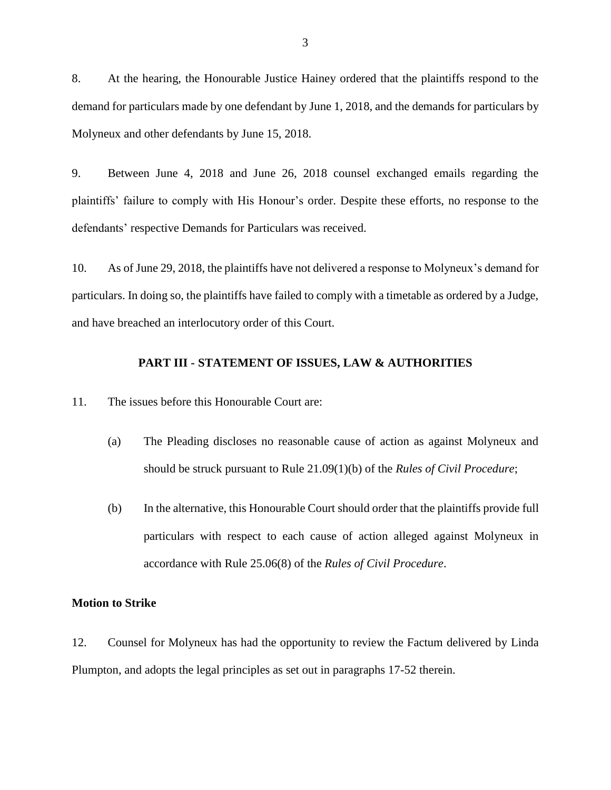8. At the hearing, the Honourable Justice Hainey ordered that the plaintiffs respond to the demand for particulars made by one defendant by June 1, 2018, and the demands for particulars by Molyneux and other defendants by June 15, 2018.

9. Between June 4, 2018 and June 26, 2018 counsel exchanged emails regarding the plaintiffs' failure to comply with His Honour's order. Despite these efforts, no response to the defendants' respective Demands for Particulars was received.

10. As of June 29, 2018, the plaintiffs have not delivered a response to Molyneux's demand for particulars. In doing so, the plaintiffs have failed to comply with a timetable as ordered by a Judge, and have breached an interlocutory order of this Court.

#### **PART III - STATEMENT OF ISSUES, LAW & AUTHORITIES**

11. The issues before this Honourable Court are:

- (a) The Pleading discloses no reasonable cause of action as against Molyneux and should be struck pursuant to Rule 21.09(1)(b) of the *Rules of Civil Procedure*;
- (b) In the alternative, this Honourable Court should order that the plaintiffs provide full particulars with respect to each cause of action alleged against Molyneux in accordance with Rule 25.06(8) of the *Rules of Civil Procedure*.

#### **Motion to Strike**

12. Counsel for Molyneux has had the opportunity to review the Factum delivered by Linda Plumpton, and adopts the legal principles as set out in paragraphs 17-52 therein.

3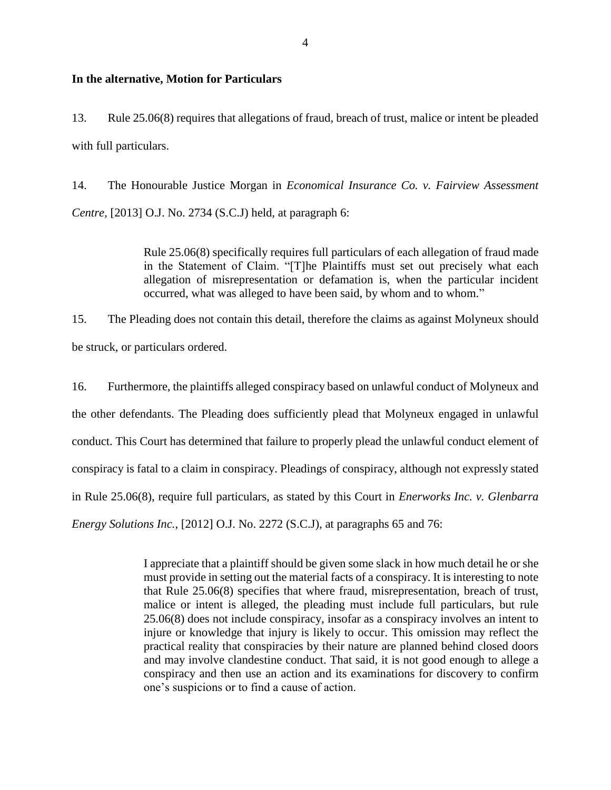#### **In the alternative, Motion for Particulars**

13. Rule 25.06(8) requires that allegations of fraud, breach of trust, malice or intent be pleaded with full particulars.

14. The Honourable Justice Morgan in *Economical Insurance Co. v. Fairview Assessment Centre,* [2013] O.J. No. 2734 (S.C.J) held, at paragraph 6:

> Rule 25.06(8) specifically requires full particulars of each allegation of fraud made in the Statement of Claim. "[T]he Plaintiffs must set out precisely what each allegation of misrepresentation or defamation is, when the particular incident occurred, what was alleged to have been said, by whom and to whom."

15. The Pleading does not contain this detail, therefore the claims as against Molyneux should be struck, or particulars ordered.

16. Furthermore, the plaintiffs alleged conspiracy based on unlawful conduct of Molyneux and the other defendants. The Pleading does sufficiently plead that Molyneux engaged in unlawful conduct. This Court has determined that failure to properly plead the unlawful conduct element of conspiracy is fatal to a claim in conspiracy. Pleadings of conspiracy, although not expressly stated in Rule 25.06(8), require full particulars, as stated by this Court in *Enerworks Inc. v. Glenbarra Energy Solutions Inc.*, [2012] O.J. No. 2272 (S.C.J), at paragraphs 65 and 76:

> I appreciate that a plaintiff should be given some slack in how much detail he or she must provide in setting out the material facts of a conspiracy. It is interesting to note that Rule 25.06(8) specifies that where fraud, misrepresentation, breach of trust, malice or intent is alleged, the pleading must include full particulars, but rule 25.06(8) does not include conspiracy, insofar as a conspiracy involves an intent to injure or knowledge that injury is likely to occur. This omission may reflect the practical reality that conspiracies by their nature are planned behind closed doors and may involve clandestine conduct. That said, it is not good enough to allege a conspiracy and then use an action and its examinations for discovery to confirm one's suspicions or to find a cause of action.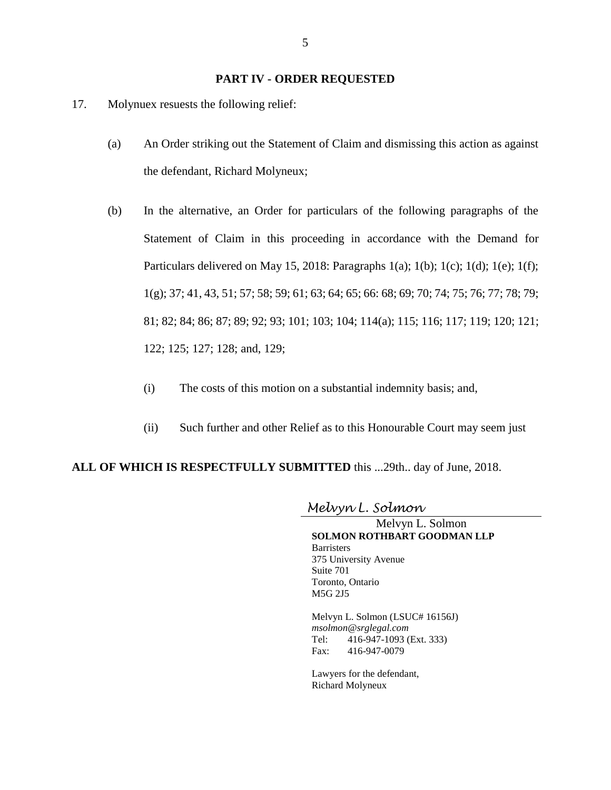#### **PART IV - ORDER REQUESTED**

- 17. Molynuex resuests the following relief:
	- (a) An Order striking out the Statement of Claim and dismissing this action as against the defendant, Richard Molyneux;
	- (b) In the alternative, an Order for particulars of the following paragraphs of the Statement of Claim in this proceeding in accordance with the Demand for Particulars delivered on May 15, 2018: Paragraphs  $1(a)$ ;  $1(b)$ ;  $1(c)$ ;  $1(d)$ ;  $1(e)$ ;  $1(f)$ ; 1(g); 37; 41, 43, 51; 57; 58; 59; 61; 63; 64; 65; 66: 68; 69; 70; 74; 75; 76; 77; 78; 79; 81; 82; 84; 86; 87; 89; 92; 93; 101; 103; 104; 114(a); 115; 116; 117; 119; 120; 121; 122; 125; 127; 128; and, 129;
		- (i) The costs of this motion on a substantial indemnity basis; and,
		- (ii) Such further and other Relief as to this Honourable Court may seem just

#### **ALL OF WHICH IS RESPECTFULLY SUBMITTED** this ...29th.. day of June, 2018.

## *Melvyn L. Solmon*

Melvyn L. Solmon **SOLMON ROTHBART GOODMAN LLP Barristers** 375 University Avenue Suite 701 Toronto, Ontario M5G 2J5

Melvyn L. Solmon (LSUC# 16156J) *msolmon@srglegal.com* Tel: 416-947-1093 (Ext. 333) Fax: 416-947-0079

Lawyers for the defendant, Richard Molyneux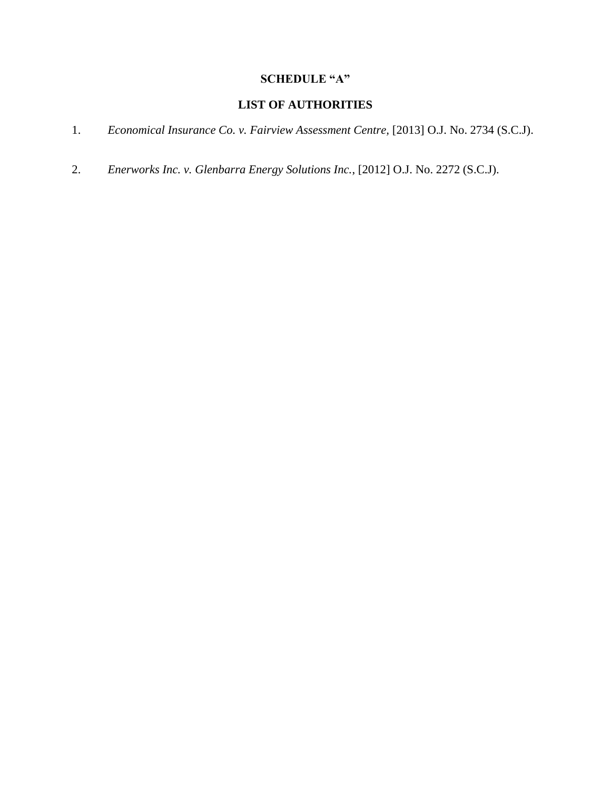# **SCHEDULE "A"**

## **LIST OF AUTHORITIES**

- 1. *Economical Insurance Co. v. Fairview Assessment Centre,* [2013] O.J. No. 2734 (S.C.J).
- 2. *Enerworks Inc. v. Glenbarra Energy Solutions Inc.*, [2012] O.J. No. 2272 (S.C.J).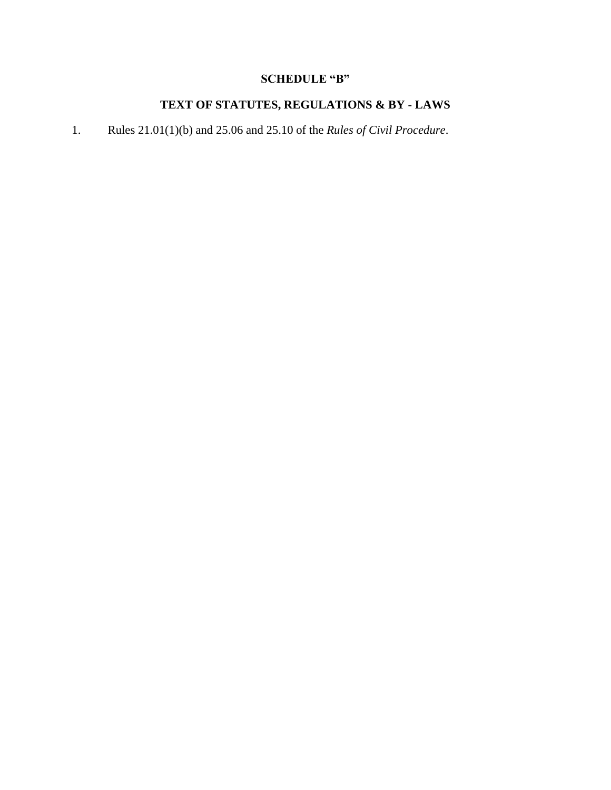# **SCHEDULE "B"**

# **TEXT OF STATUTES, REGULATIONS & BY - LAWS**

1. Rules 21.01(1)(b) and 25.06 and 25.10 of the *Rules of Civil Procedure*.